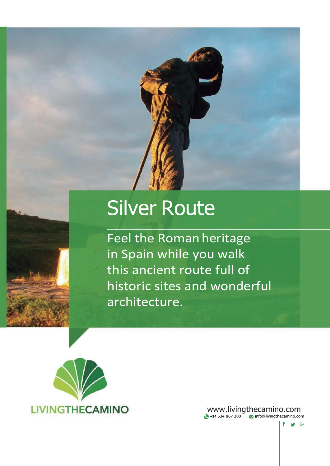

# Silver Route

Feel the Roman heritage in Spain while you walk this ancient route full of historic sites and wonderful architecture.



[www.livingthecamino.com](http://www.livingthecamino.com/) **+34** 634 867 300 [info@livingthecamino.com](mailto:info@livingthecamino.com)

 $f \circ g$  G+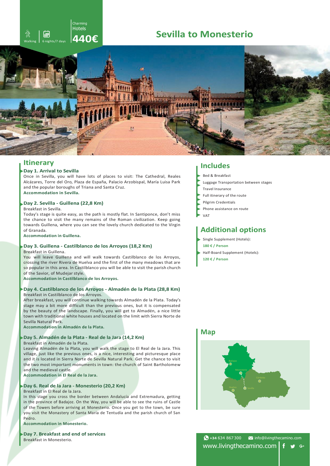# Charming Hotels

# <sup>後</sup>』圖 Sevilla to Monesterio



### **Day 1. Arrival to Sevilla**

Once in Sevilla, you will have lots of places to visit: The Cathedral, Reales Alcázares, Torre del Oro, Plaza de España, Palacio Arzobispal, María Luisa Park and the popular boroughs of Triana and Santa Cruz. **Accommodation in Sevilla.**

#### **Day 2. Sevilla - Guillena (22,8 Km)**

Breakfast in Sevilla.

Today's stage is quite easy, as the path is mostly flat. In Santiponce, don't miss the chance to visit the many remains of the Roman civilization. Keep going towards Guillena, where you can see the lovely church dedicated to the Virgin of Granada.

**Accommodation in Guillena.**

# **Day 3. Guillena - Castilblanco de los Arroyos (18,2 Km)**

Breakfast in Guillena.

You will leave Guillena and will walk towards Castilblanco de los Arroyos, crossing the river Rivera de Huelva and the first of the many meadows that are so popular in this area. In Castilblanco you will be able to visit the parish church of the Savior, of Mudejar style.

**Accommodation in Castilblanco de los Arroyos.**

#### **Day 4. Castilblanco de los Arroyos - Almadén de la Plata (28,8 Km)** Breakfast in Castilblanco de los Arroyos.

After breakfast, you will continue walking towards Almadén de la Plata. Today's stage may a bit more difficult than the previous ones, but it is compensated by the beauty of the landscape. Finally, you will get to Almadén, a nice little town with traditional white houses and located on the limit with Sierra Norte de Sevilla Natural Park.

**Accommodation in Almadén de la Plata.**

### **Day 5. Almadén de la Plata - Real de la Jara (14,2 Km)**

Breakfast in Almadén de la Plata.

Leaving Almadén de la Plata, you will walk the stage to El Real de la Jara. This village, just like the previous ones, is a nice, interesting and picturesque place and it is located in Sierra Norte de Sevilla Natural Park. Get the chance to visit the two most important monuments in town: the church of Saint Bartholomew and the medieval castle.

**Accommodation in El Real de la Jara.**

## **Day 6. Real de la Jara - Monesterio (20,2 Km)**

Breakfast in El Real de la Jara.

In this stage you cross the border between Andalucía and Extremadura, getting in the province of Badajoz. On the Way, you will be able to see the ruins of Castle of the Towers before arriving at Monesterio. Once you get to the town, be sure you visit the Monastery of Santa María de Tentudía and the parish church of San Pedro.

**Accommodation in Monesterio.**

**Day 7. Breakfast and end of services** Breakfast in Monesterio.

# **Itinerary Includes**

Bed & Breakfast

- Luggage Transportation between stages
- Travel Insurance
- Full itinerary of the route
- Pilgrim Credentials
- Phone assistance on route
- VAT

# **Additional options**

- Single Supplement (Hotels):
- **180 € / Person**
- Half-Board Supplement (Hotels):
- **120 € / Person**

# **Map**



 $\bigodot$  +34 634 867 300  $\blacksquare$  [info@livingthecamino.com](mailto:info@livingthecamino.com) [www.livingthecamino.com](http://www.livingthecamino.com/)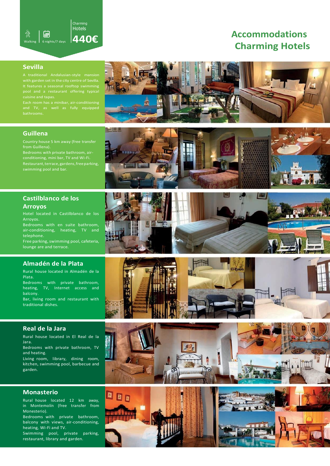

# **Charming Hotels Accommodations**

# **Sevilla**

Each room has a minibar, air-conditioning and TV, as well as fully equipped

# ME

# **Guillena**

Country house 5 km away (free transfer

Bedrooms with private bathroom, airconditioning, mini bar, TV and Wi-Fi. Restaurant,terrace, gardens,freeparking, swimming pool and bar.

# **Castilblanco de los Arroyos**

Hotel located in Castilblanco de los Arroyos.

Bedrooms with en suite bathroom, air-conditioning, heating, TV and telephone.

Free parking, swimming pool, cafeteria, lounge are and terrace.

# **Almadén de la Plata**

Rural house located in Almadén de la Plata.

Bedrooms with private bathroom, heating, TV, Internet access and balcony.

Bar, living room and restaurant with traditional dishes.

# **Real de la Jara**

Rural house located in El Real de la Jara.

Bedrooms with private bathroom, TV and heating.

Living room, library, dining room, kitchen, swimming pool, barbecue and garden.

# **Monasterio**

Rural house located 12 km away, in Montemolín (free transfer from Monesterio).

Bedrooms with private bathroom, balcony with views, air-conditioning, heating, Wi-Fi and TV.

Swimming pool, private parking, restaurant, library and garden.